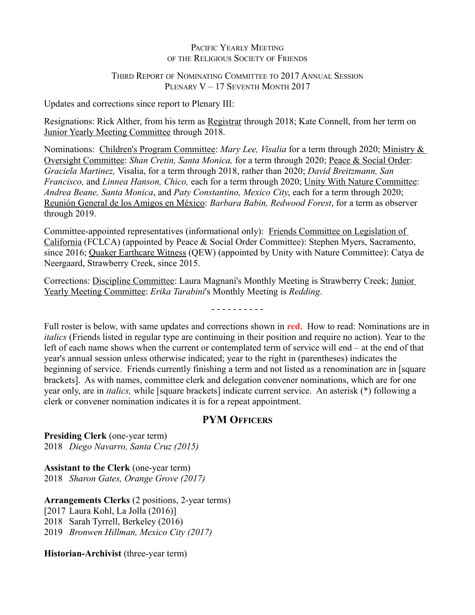#### PACIFIC YEARLY MEETING OF THE RELIGIOUS SOCIETY OF FRIENDS

### THIRD REPORT OF NOMINATING COMMITTEE TO 2017 ANNUAL SESSION PLENARY V - 17 SEVENTH MONTH 2017

Updates and corrections since report to Plenary III:

Resignations: Rick Alther, from his term as Registrar through 2018; Kate Connell, from her term on Junior Yearly Meeting Committee through 2018.

Nominations: Children's Program Committee: *Mary Lee, Visalia* for a term through 2020; Ministry & Oversight Committee: *Shan Cretin, Santa Monica,* for a term through 2020; Peace & Social Order: *Graciela Martinez,* Visalia, for a term through 2018, rather than 2020; *David Breitzmann, San Francisco,* and *Linnea Hanson, Chico,* each for a term through 2020; Unity With Nature Committee: *Andrea Beane, Santa Monica*, and *Paty Constantino, Mexico City*, each for a term through 2020; Reunión General de los Amigos en México: *Barbara Babin, Redwood Forest*, for a term as observer through 2019.

Committee-appointed representatives (informational only): Friends Committee on Legislation of California (FCLCA) (appointed by Peace & Social Order Committee): Stephen Myers, Sacramento, since 2016; Quaker Earthcare Witness (QEW) (appointed by Unity with Nature Committee): Catya de Neergaard, Strawberry Creek, since 2015.

Corrections: Discipline Committee: Laura Magnani's Monthly Meeting is Strawberry Creek; Junior Yearly Meeting Committee: *Erika Tarabini*'s Monthly Meeting is *Redding*.

- - - - - - - - - -

Full roster is below, with same updates and corrections shown in **red.** How to read: Nominations are in *italics* (Friends listed in regular type are continuing in their position and require no action). Year to the left of each name shows when the current or contemplated term of service will end – at the end of that year's annual session unless otherwise indicated; year to the right in (parentheses) indicates the beginning of service. Friends currently finishing a term and not listed as a renomination are in [square brackets]. As with names, committee clerk and delegation convener nominations, which are for one year only, are in *italics,* while [square brackets] indicate current service. An asterisk (\*) following a clerk or convener nomination indicates it is for a repeat appointment.

## **PYM OFFICERS**

**Presiding Clerk** (one-year term) 2018 *Diego Navarro, Santa Cruz (2015)*

**Assistant to the Clerk** (one-year term) 2018 *Sharon Gates, Orange Grove (2017)*

**Arrangements Clerks** (2 positions, 2-year terms) [2017 Laura Kohl, La Jolla (2016)] 2018 Sarah Tyrrell, Berkeley (2016) 2019 *Bronwen Hillman, Mexico City (2017)*

**Historian-Archivist** (three-year term)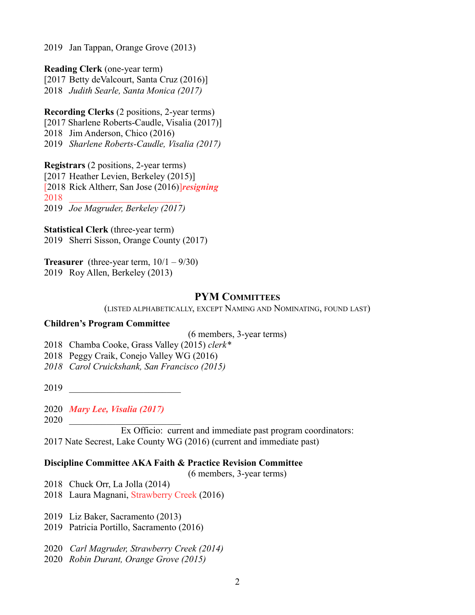2019 Jan Tappan, Orange Grove (2013)

**Reading Clerk** (one-year term)

[2017 Betty deValcourt, Santa Cruz (2016)] 2018 *Judith Searle, Santa Monica (2017)*

**Recording Clerks** (2 positions, 2-year terms) [2017 Sharlene Roberts-Caudle, Visalia (2017)]

2018 Jim Anderson, Chico (2016)

2019 *Sharlene Roberts-Caudle, Visalia (2017)*

**Registrars** (2 positions, 2-year terms) [2017 Heather Levien, Berkeley (2015)] [2018 Rick Altherr, San Jose (2016)]*resigning* 2018 \_\_\_\_\_\_\_\_\_\_\_\_\_\_\_\_\_\_\_\_\_\_\_\_ 2019 *Joe Magruder, Berkeley (2017)*

**Statistical Clerk** (three-year term) 2019 Sherri Sisson, Orange County (2017)

**Treasurer** (three-year term,  $10/1 - 9/30$ ) 2019 Roy Allen, Berkeley (2013)

## **PYM COMMITTEES**

(LISTED ALPHABETICALLY, EXCEPT NAMING AND NOMINATING, FOUND LAST)

#### **Children's Program Committee**

(6 members, 3-year terms)

2018 Chamba Cooke, Grass Valley (2015) *clerk\**

2018 Peggy Craik, Conejo Valley WG (2016)

*2018 Carol Cruickshank, San Francisco (2015)*

2019 \_\_\_\_\_\_\_\_\_\_\_\_\_\_\_\_\_\_\_\_\_\_\_\_

2020 *Mary Lee, Visalia (2017)*

2020 \_\_\_\_\_\_\_\_\_\_\_\_\_\_\_\_\_\_\_\_\_\_\_\_

Ex Officio: current and immediate past program coordinators: 2017 Nate Secrest, Lake County WG (2016) (current and immediate past)

### **Discipline Committee AKA Faith & Practice Revision Committee**

(6 members, 3-year terms)

2018 Chuck Orr, La Jolla (2014)

- 2018 Laura Magnani, Strawberry Creek (2016)
- 2019 Liz Baker, Sacramento (2013)
- 2019 Patricia Portillo, Sacramento (2016)
- 2020 *Carl Magruder, Strawberry Creek (2014)*
- 2020 *Robin Durant, Orange Grove (2015)*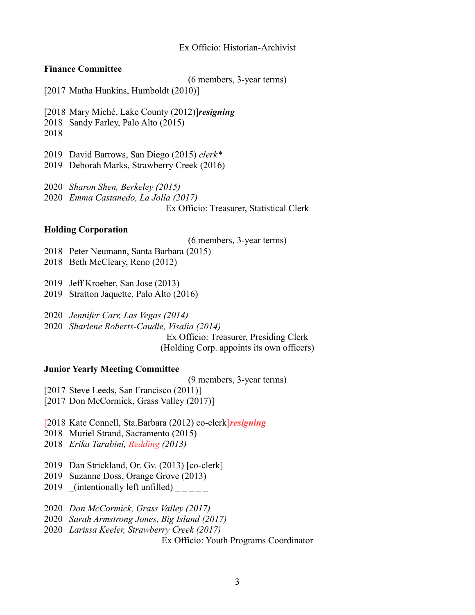#### Ex Officio: Historian-Archivist

#### **Finance Committee**

(6 members, 3-year terms)

[2017 Matha Hunkins, Humboldt (2010)]

[2018 Mary Miché, Lake County (2012)]*resigning*

2018 Sandy Farley, Palo Alto (2015)

- 2018 \_\_\_\_\_\_\_\_\_\_\_\_\_\_\_\_\_\_\_\_\_\_\_\_
- 2019 David Barrows, San Diego (2015) *clerk\**

2019 Deborah Marks, Strawberry Creek (2016)

- 2020 *Sharon Shen, Berkeley (2015)*
- 2020 *Emma Castanedo, La Jolla (2017)*

Ex Officio: Treasurer, Statistical Clerk

#### **Holding Corporation**

(6 members, 3-year terms)

- 2018 Peter Neumann, Santa Barbara (2015)
- 2018 Beth McCleary, Reno (2012)
- 2019 Jeff Kroeber, San Jose (2013)
- 2019 Stratton Jaquette, Palo Alto (2016)
- 2020 *Jennifer Carr, Las Vegas (2014)*
- 2020 *Sharlene Roberts-Caudle, Visalia (2014)*

Ex Officio: Treasurer, Presiding Clerk (Holding Corp. appoints its own officers)

#### **Junior Yearly Meeting Committee**

(9 members, 3-year terms)

[2017 Steve Leeds, San Francisco (2011)]

[2017 Don McCormick, Grass Valley (2017)]

- [2018 Kate Connell, Sta.Barbara (2012) co-clerk]*resigning*
- 2018 Muriel Strand, Sacramento (2015)
- 2018 *Erika Tarabini, Redding (2013)*
- 2019 Dan Strickland, Or. Gv. (2013) [co-clerk]
- 2019 Suzanne Doss, Orange Grove (2013)
- 2019 (intentionally left unfilled)  $\frac{1}{2}$
- 2020 *Don McCormick, Grass Valley (2017)*
- 2020 *Sarah Armstrong Jones, Big Island (2017)*
- 2020 *Larissa Keeler, Strawberry Creek (2017)*

Ex Officio: Youth Programs Coordinator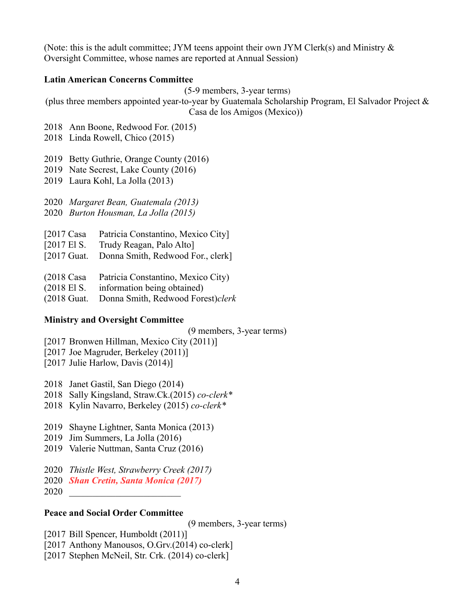(Note: this is the adult committee; JYM teens appoint their own JYM Clerk(s) and Ministry  $\&$ Oversight Committee, whose names are reported at Annual Session)

#### **Latin American Concerns Committee**

(5-9 members, 3-year terms)

(plus three members appointed year-to-year by Guatemala Scholarship Program, El Salvador Project & Casa de los Amigos (Mexico))

- 2018 Ann Boone, Redwood For. (2015)
- 2018 Linda Rowell, Chico (2015)

2019 Betty Guthrie, Orange County (2016)

- 2019 Nate Secrest, Lake County (2016)
- 2019 Laura Kohl, La Jolla (2013)

2020 *Margaret Bean, Guatemala (2013)*

2020 *Burton Housman, La Jolla (2015)*

- [2017 Casa Patricia Constantino, Mexico City]
- [2017 El S. Trudy Reagan, Palo Alto]
- [2017 Guat. Donna Smith, Redwood For., clerk]
- (2018 Casa Patricia Constantino, Mexico City)
- (2018 El S. information being obtained)
- (2018 Guat. Donna Smith, Redwood Forest)*clerk*

#### **Ministry and Oversight Committee**

(9 members, 3-year terms)

- [2017 Bronwen Hillman, Mexico City (2011)]
- [2017 Joe Magruder, Berkeley (2011)]
- [2017 Julie Harlow, Davis (2014)]
- 2018 Janet Gastil, San Diego (2014)
- 2018 Sally Kingsland, Straw.Ck.(2015) *co-clerk\**
- 2018 Kylin Navarro, Berkeley (2015) *co-clerk\**
- 2019 Shayne Lightner, Santa Monica (2013)
- 2019 Jim Summers, La Jolla (2016)
- 2019 Valerie Nuttman, Santa Cruz (2016)
- 2020 *Thistle West, Strawberry Creek (2017)*
- 2020 *Shan Cretin, Santa Monica (2017)*
- 2020 \_\_\_\_\_\_\_\_\_\_\_\_\_\_\_\_\_\_\_\_\_\_\_\_

#### **Peace and Social Order Committee**

(9 members, 3-year terms)

- [2017 Bill Spencer, Humboldt (2011)]
- [2017 Anthony Manousos, O.Grv.(2014) co-clerk]
- [2017 Stephen McNeil, Str. Crk. (2014) co-clerk]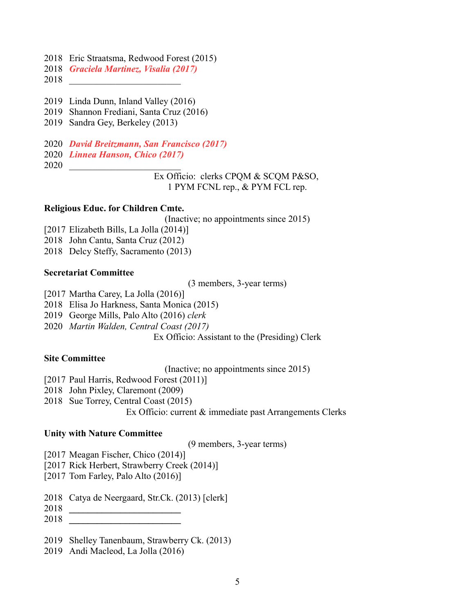- 2018 Eric Straatsma, Redwood Forest (2015)
- 2018 *Graciela Martinez, Visalia (2017)*
- 2018 \_\_\_\_\_\_\_\_\_\_\_\_\_\_\_\_\_\_\_\_\_\_\_\_
- 2019 Linda Dunn, Inland Valley (2016)
- 2019 Shannon Frediani, Santa Cruz (2016)
- 2019 Sandra Gey, Berkeley (2013)
- 2020 *David Breitzmann, San Francisco (2017)*
- 2020 *Linnea Hanson, Chico (2017)*
- 2020 \_\_\_\_\_\_\_\_\_\_\_\_\_\_\_\_\_\_\_\_\_\_\_\_

Ex Officio: clerks CPQM & SCQM P&SO, 1 PYM FCNL rep., & PYM FCL rep.

#### **Religious Educ. for Children Cmte.**

(Inactive; no appointments since 2015)

- [2017 Elizabeth Bills, La Jolla (2014)]
- 2018 John Cantu, Santa Cruz (2012)
- 2018 Delcy Steffy, Sacramento (2013)

#### **Secretariat Committee**

(3 members, 3-year terms)

[2017 Martha Carey, La Jolla (2016)]

2018 Elisa Jo Harkness, Santa Monica (2015)

- 2019 George Mills, Palo Alto (2016) *clerk*
- 2020 *Martin Walden, Central Coast (2017)*

Ex Officio: Assistant to the (Presiding) Clerk

#### **Site Committee**

(Inactive; no appointments since 2015)

[2017 Paul Harris, Redwood Forest (2011)]

- 2018 John Pixley, Claremont (2009)
- 2018 Sue Torrey, Central Coast (2015)

Ex Officio: current & immediate past Arrangements Clerks

#### **Unity with Nature Committee**

(9 members, 3-year terms)

- [2017 Meagan Fischer, Chico (2014)]
- [2017 Rick Herbert, Strawberry Creek (2014)]
- [2017 Tom Farley, Palo Alto (2016)]
- 2018 Catya de Neergaard, Str.Ck. (2013) [clerk]
- 2018 **\_\_\_\_\_\_\_\_\_\_\_\_\_\_\_\_\_\_\_\_\_\_\_\_**

2018 **\_\_\_\_\_\_\_\_\_\_\_\_\_\_\_\_\_\_\_\_\_\_\_\_**

- 2019 Shelley Tanenbaum, Strawberry Ck. (2013)
- 2019 Andi Macleod, La Jolla (2016)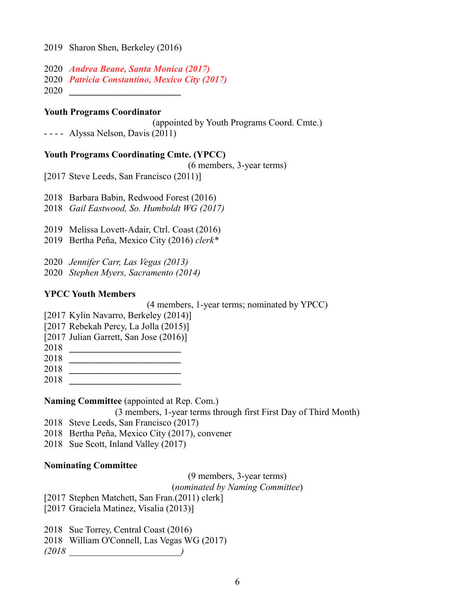- 2020 *Andrea Beane, Santa Monica (2017)*
- 2020 *Patricia Constantino, Mexico City (2017)*
- 2020 **\_\_\_\_\_\_\_\_\_\_\_\_\_\_\_\_\_\_\_\_\_\_\_\_**

### **Youth Programs Coordinator**

(appointed by Youth Programs Coord. Cmte.)

- - - - Alyssa Nelson, Davis (2011)

## **Youth Programs Coordinating Cmte. (YPCC)**

(6 members, 3-year terms)

[2017 Steve Leeds, San Francisco (2011)]

- 2018 Barbara Babin, Redwood Forest (2016)
- 2018 *Gail Eastwood, So. Humboldt WG (2017)*
- 2019 Melissa Lovett-Adair, Ctrl. Coast (2016)
- 2019 Bertha Peña, Mexico City (2016) *clerk\**
- 2020 *Jennifer Carr, Las Vegas (2013)*
- 2020 *Stephen Myers, Sacramento (2014)*

## **YPCC Youth Members**

(4 members, 1-year terms; nominated by YPCC)

- [2017 Kylin Navarro, Berkeley (2014)]
- [2017 Rebekah Percy, La Jolla (2015)]
- [2017 Julian Garrett, San Jose (2016)]
- 2018 **\_\_\_\_\_\_\_\_\_\_\_\_\_\_\_\_\_\_\_\_\_\_\_\_**
- 2018 **\_\_\_\_\_\_\_\_\_\_\_\_\_\_\_\_\_\_\_\_\_\_\_\_**
- 2018 **\_\_\_\_\_\_\_\_\_\_\_\_\_\_\_\_\_\_\_\_\_\_\_\_**
- 2018 **\_\_\_\_\_\_\_\_\_\_\_\_\_\_\_\_\_\_\_\_\_\_\_\_**

## **Naming Committee** (appointed at Rep. Com.)

(3 members, 1-year terms through first First Day of Third Month)

- 2018 Steve Leeds, San Francisco (2017)
- 2018 Bertha Peña, Mexico City (2017), convener
- 2018 Sue Scott, Inland Valley (2017)

## **Nominating Committee**

## (9 members, 3-year terms)

## (*nominated by Naming Committee*)

[2017 Stephen Matchett, San Fran.(2011) clerk]

[2017 Graciela Matinez, Visalia (2013)]

2018 Sue Torrey, Central Coast (2016)

2018 William O'Connell, Las Vegas WG (2017)

*(2018 \_\_\_\_\_\_\_\_\_\_\_\_\_\_\_\_\_\_\_\_\_\_\_\_)*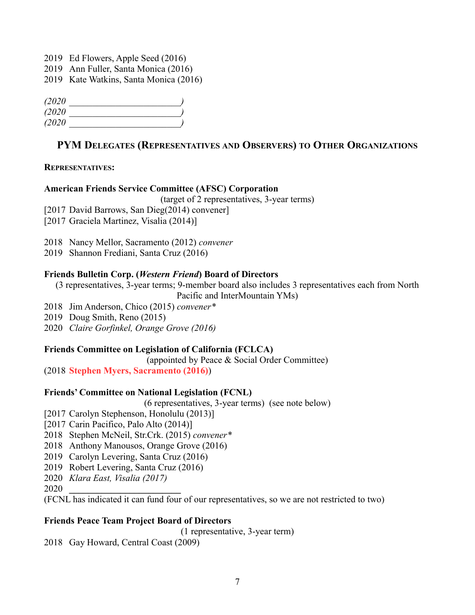- 2019 Ed Flowers, Apple Seed (2016)
- 2019 Ann Fuller, Santa Monica (2016)
- 2019 Kate Watkins, Santa Monica (2016)

| (2020 |  |
|-------|--|
| (2020 |  |
| (2020 |  |

## **PYM DELEGATES (REPRESENTATIVES AND OBSERVERS) TO OTHER ORGANIZATIONS**

#### **REPRESENTATIVES:**

#### **American Friends Service Committee (AFSC) Corporation**

(target of 2 representatives, 3-year terms)

[2017 David Barrows, San Dieg(2014) convener]

[2017 Graciela Martinez, Visalia (2014)]

2018 Nancy Mellor, Sacramento (2012) *convener*

2019 Shannon Frediani, Santa Cruz (2016)

### **Friends Bulletin Corp. (***Western Friend***) Board of Directors**

(3 representatives, 3-year terms; 9-member board also includes 3 representatives each from North

Pacific and InterMountain YMs)

- 2018 Jim Anderson, Chico (2015) *convener\**
- 2019 Doug Smith, Reno (2015)
- 2020 *Claire Gorfinkel, Orange Grove (2016)*

## **Friends Committee on Legislation of California (FCLCA)**

(appointed by Peace & Social Order Committee)

(2018 **Stephen Myers, Sacramento (2016)**)

## **Friends' Committee on National Legislation (FCNL)**

(6 representatives, 3-year terms) (see note below)

[2017 Carolyn Stephenson, Honolulu (2013)]

- [2017 Carin Pacifico, Palo Alto (2014)]
- 2018 Stephen McNeil, Str.Crk. (2015) *convener\**
- 2018 Anthony Manousos, Orange Grove (2016)
- 2019 Carolyn Levering, Santa Cruz (2016)
- 2019 Robert Levering, Santa Cruz (2016)
- 2020 *Klara East, Visalia (2017)*

2020 **\_\_\_\_\_\_\_\_\_\_\_\_\_\_\_\_\_\_\_\_\_\_\_\_**

(FCNL has indicated it can fund four of our representatives, so we are not restricted to two)

## **Friends Peace Team Project Board of Directors**

(1 representative, 3-year term)

2018 Gay Howard, Central Coast (2009)